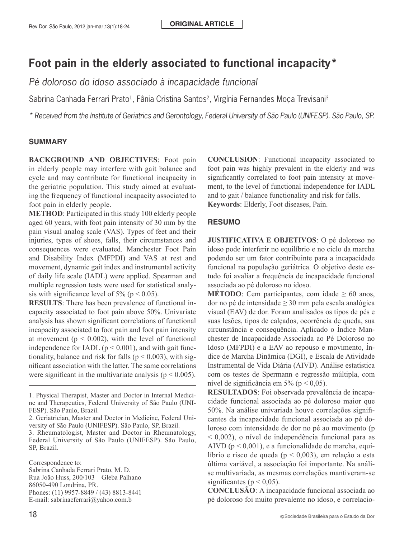#### **ORIGINAL ARTICLE**

# **Foot pain in the elderly associated to functional incapacity\***

*Pé doloroso do idoso associado à incapacidade funcional* 

Sabrina Canhada Ferrari Prato<sup>1</sup>, Fânia Cristina Santos<sup>2</sup>, Virgínia Fernandes Moça Trevisani<sup>3</sup>

*\* Received from the Institute of Geriatrics and Gerontology, Federal University of São Paulo (UNIFESP). São Paulo, SP.*

#### **SUMMARY**

**BACKGROUND AND OBJECTIVES**: Foot pain in elderly people may interfere with gait balance and cycle and may contribute for functional incapacity in the geriatric population. This study aimed at evaluating the frequency of functional incapacity associated to foot pain in elderly people.

**METHOD**: Participated in this study 100 elderly people aged 60 years, with foot pain intensity of 30 mm by the pain visual analog scale (VAS). Types of feet and their injuries, types of shoes, falls, their circumstances and consequences were evaluated. Manchester Foot Pain and Disability Index (MFPDI) and VAS at rest and movement, dynamic gait index and instrumental activity of daily life scale (IADL) were applied. Spearman and multiple regression tests were used for statistical analysis with significance level of  $5\%$  (p < 0.05).

**RESULTS**: There has been prevalence of functional incapacity associated to foot pain above 50%. Univariate analysis has shown significant correlations of functional incapacity associated to foot pain and foot pain intensity at movement ( $p < 0.002$ ), with the level of functional independence for IADL ( $p < 0.001$ ), and with gait functionality, balance and risk for falls ( $p < 0.003$ ), with significant association with the latter. The same correlations were significant in the multivariate analysis ( $p \le 0.005$ ).

3. Rheumatologist, Master and Doctor in Rheumatology, Federal University of São Paulo (UNIFESP). São Paulo, SP, Brazil.

Correspondence to: Sabrina Canhada Ferrari Prato, M. D. Rua João Huss, 200/103 – Gleba Palhano 86050-490 Londrina, PR. Phones: (11) 9957-8849 / (43) 8813-8441 E-mail: sabrinacferrari@yahoo.com.b

**CONCLUSION**: Functional incapacity associated to foot pain was highly prevalent in the elderly and was significantly correlated to foot pain intensity at movement, to the level of functional independence for IADL and to gait / balance functionality and risk for falls. **Keywords**: Elderly, Foot diseases, Pain.

#### **RESUMO**

**JUSTIFICATIVA E OBJETIVOS**: O pé doloroso no idoso pode interferir no equilíbrio e no ciclo da marcha podendo ser um fator contribuinte para a incapacidade funcional na população geriátrica. O objetivo deste estudo foi avaliar a frequência de incapacidade funcional associada ao pé doloroso no idoso.

**MÉTODO**: Cem participantes, com idade  $\geq 60$  anos, dor no pé de intensidade  $\geq$  30 mm pela escala analógica visual (EAV) de dor. Foram analisados os tipos de pés e suas lesões, tipos de calçados, ocorrência de queda, sua circunstância e consequência. Aplicado o Índice Manchester de Incapacidade Associada ao Pé Doloroso no Idoso (MFPDI) e a EAV ao repouso e movimento, Índice de Marcha Dinâmica (DGI), e Escala de Atividade Instrumental de Vida Diária (AIVD). Análise estatística com os testes de Spermann e regressão múltipla, com nível de significância em 5% ( $p < 0.05$ ).

**RESULTADOS**: Foi observada prevalência de incapacidade funcional associada ao pé doloroso maior que 50%. Na análise univariada houve correlações significantes da incapacidade funcional associada ao pé doloroso com intensidade de dor no pé ao movimento (p < 0,002), o nível de independência funcional para as AIVD  $(p < 0.001)$ , e a funcionalidade de marcha, equilíbrio e risco de queda (p < 0,003), em relação a esta última variável, a associação foi importante. Na análise multivariada, as mesmas correlações mantiveram-se significantes ( $p < 0.05$ ).

**CONCLUSÃO**: A incapacidade funcional associada ao pé doloroso foi muito prevalente no idoso, e correlacio-

<sup>1.</sup> Physical Therapist, Master and Doctor in Internal Medicine and Therapeutics, Federal University of São Paulo (UNI-FESP). São Paulo, Brazil.

<sup>2.</sup> Geriatrician, Master and Doctor in Medicine, Federal University of São Paulo (UNIFESP). São Paulo, SP, Brazil.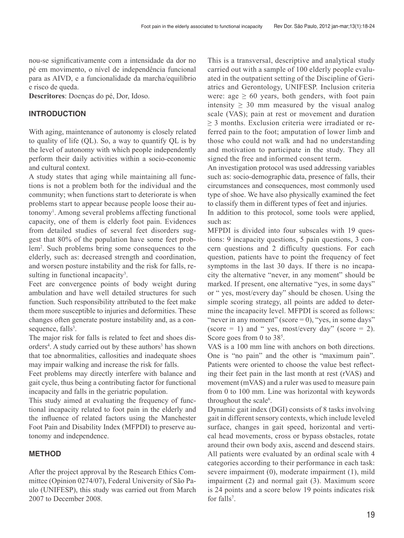nou-se significativamente com a intensidade da dor no pé em movimento, o nível de independência funcional para as AIVD, e a funcionalidade da marcha/equilíbrio e risco de queda.

**Descritores**: Doenças do pé, Dor, Idoso.

## **INTRODUCTION**

With aging, maintenance of autonomy is closely related to quality of life (QL). So, a way to quantify QL is by the level of autonomy with which people independently perform their daily activities within a socio-economic and cultural context.

A study states that aging while maintaining all functions is not a problem both for the individual and the community; when functions start to deteriorate is when problems start to appear because people loose their autonomy1 . Among several problems affecting functional capacity, one of them is elderly foot pain. Evidences from detailed studies of several feet disorders suggest that 80% of the population have some feet problem<sup>2</sup> . Such problems bring some consequences to the elderly, such as: decreased strength and coordination, and worsen posture instability and the risk for falls, resulting in functional incapacity<sup>3</sup>.

Feet are convergence points of body weight during ambulation and have well detailed structures for such function. Such responsibility attributed to the feet make them more susceptible to injuries and deformities. These changes often generate posture instability and, as a consequence, falls<sup>3</sup>.

The major risk for falls is related to feet and shoes disorders<sup>4</sup>. A study carried out by these authors<sup>3</sup> has shown that toe abnormalities, callosities and inadequate shoes may impair walking and increase the risk for falls.

Feet problems may directly interfere with balance and gait cycle, thus being a contributing factor for functional incapacity and falls in the geriatric population.

This study aimed at evaluating the frequency of functional incapacity related to foot pain in the elderly and the influence of related factors using the Manchester Foot Pain and Disability Index (MFPDI) to preserve autonomy and independence.

# **METHOD**

After the project approval by the Research Ethics Committee (Opinion 0274/07), Federal University of São Paulo (UNIFESP), this study was carried out from March 2007 to December 2008.

This is a transversal, descriptive and analytical study carried out with a sample of 100 elderly people evaluated in the outpatient setting of the Discipline of Geriatrics and Gerontology, UNIFESP. Inclusion criteria were: age  $\geq 60$  years, both genders, with foot pain intensity  $\geq$  30 mm measured by the visual analog scale (VAS); pain at rest or movement and duration ≥ 3 months. Exclusion criteria were irradiated or referred pain to the foot; amputation of lower limb and those who could not walk and had no understanding and motivation to participate in the study. They all signed the free and informed consent term.

An investigation protocol was used addressing variables such as: socio-demographic data, presence of falls, their circumstances and consequences, most commonly used type of shoe. We have also physically examined the feet to classify them in different types of feet and injuries.

In addition to this protocol, some tools were applied, such as:

MFPDI is divided into four subscales with 19 questions: 9 incapacity questions, 5 pain questions, 3 concern questions and 2 difficulty questions. For each question, patients have to point the frequency of feet symptoms in the last 30 days. If there is no incapacity the alternative "never, in any moment" should be marked. If present, one alternative "yes, in some days" or " yes, most/every day" should be chosen. Using the simple scoring strategy, all points are added to determine the incapacity level. MFPDI is scored as follows: "never in any moment" (score  $= 0$ ), "yes, in some days" (score  $= 1$ ) and " yes, most/every day" (score  $= 2$ ). Score goes from 0 to 38<sup>5</sup>.

VAS is a 100 mm line with anchors on both directions. One is "no pain" and the other is "maximum pain". Patients were oriented to choose the value best reflecting their feet pain in the last month at rest (rVAS) and movement (mVAS) and a ruler was used to measure pain from 0 to 100 mm. Line was horizontal with keywords throughout the scale<sup>6</sup>.

Dynamic gait index (DGI) consists of 8 tasks involving gait in different sensory contexts, which include leveled surface, changes in gait speed, horizontal and vertical head movements, cross or bypass obstacles, rotate around their own body axis, ascend and descend stairs. All patients were evaluated by an ordinal scale with 4 categories according to their performance in each task: severe impairment (0), moderate impairment (1), mild impairment (2) and normal gait (3). Maximum score is 24 points and a score below 19 points indicates risk for falls<sup>7</sup>.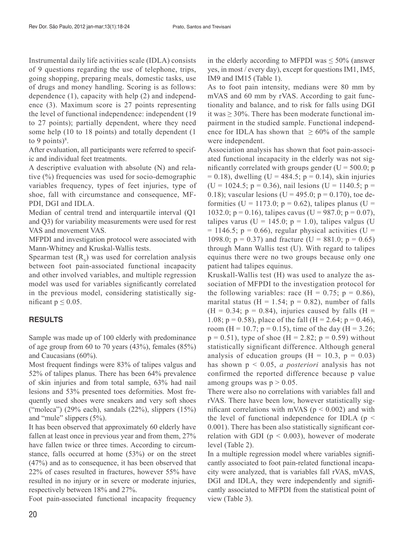Instrumental daily life activities scale (IDLA) consists of 9 questions regarding the use of telephone, trips, going shopping, preparing meals, domestic tasks, use of drugs and money handling. Scoring is as follows: dependence (1), capacity with help (2) and independence (3). Maximum score is 27 points representing the level of functional independence: independent (19 to 27 points); partially dependent, where they need some help (10 to 18 points) and totally dependent (1 to 9 points) $8$ .

After evaluation, all participants were referred to specific and individual feet treatments.

A descriptive evaluation with absolute (N) and relative (%) frequencies was used for socio-demographic variables frequency, types of feet injuries, type of shoe, fall with circumstance and consequence, MF-PDI, DGI and IDLA.

Median of central trend and interquartile interval (Q1 and Q3) for variability measurements were used for rest VAS and movement VAS.

MFPDI and investigation protocol were associated with Mann-Whitney and Kruskal-Wallis tests.

Spearman test  $(R<sub>o</sub>)$  was used for correlation analysis between foot pain-associated functional incapacity and other involved variables, and multiple regression model was used for variables significantly correlated in the previous model, considering statistically significant  $p \leq 0.05$ .

## **RESULTS**

Sample was made up of 100 elderly with predominance of age group from 60 to 70 years (43%), females (85%) and Caucasians (60%).

Most frequent findings were 83% of talipes valgus and 52% of talipes planus. There has been 64% prevalence of skin injuries and from total sample, 63% had nail lesions and 53% presented toes deformities. Most frequently used shoes were sneakers and very soft shoes ("moleca") (29% each), sandals (22%), slippers (15%) and "mule" slippers (5%).

It has been observed that approximately 60 elderly have fallen at least once in previous year and from them, 27% have fallen twice or three times. According to circumstance, falls occurred at home (53%) or on the street (47%) and as to consequence, it has been observed that 22% of cases resulted in fractures, however 55% have resulted in no injury or in severe or moderate injuries, respectively between 18% and 27%.

Foot pain-associated functional incapacity frequency

in the elderly according to MFPDI was  $\leq 50\%$  (answer yes, in most / every day), except for questions IM1, IM5, IM9 and IM15 (Table 1).

As to foot pain intensity, medians were 80 mm by mVAS and 60 mm by rVAS. According to gait functionality and balance, and to risk for falls using DGI it was  $\geq$  30%. There has been moderate functional impairment in the studied sample. Functional independence for IDLA has shown that  $\geq 60\%$  of the sample were independent.

Association analysis has shown that foot pain-associated functional incapacity in the elderly was not significantly correlated with groups gender ( $U = 500.0$ ; p  $= 0.18$ ), dwelling (U = 484.5; p = 0.14), skin injuries (U = 1024.5; p = 0.36), nail lesions (U = 1140.5; p = 0.18); vascular lesions (U = 495.0; p = 0.170), toe deformities (U = 1173.0;  $p = 0.62$ ), talipes planus (U = 1032.0; p = 0.16), talipes cavus (U = 987.0; p = 0.07), talipes varus (U = 145.0;  $p = 1.0$ ), talipes valgus (U  $= 1146.5$ ; p = 0.66), regular physical activities (U = 1098.0;  $p = 0.37$ ) and fracture (U = 881.0;  $p = 0.65$ ) through Mann Wallis test (U). With regard to talipes equinus there were no two groups because only one patient had talipes equinus.

Kruskall-Wallis test (H) was used to analyze the association of MFPDI to the investigation protocol for the following variables: race  $(H = 0.75; p = 0.86)$ , marital status (H = 1.54;  $p = 0.82$ ), number of falls  $(H = 0.34; p = 0.84)$ , injuries caused by falls  $(H = 0.34; p = 0.84)$ 1.08;  $p = 0.58$ ), place of the fall (H = 2.64;  $p = 0.46$ ), room (H = 10.7; p = 0.15), time of the day (H = 3.26;  $p = 0.51$ , type of shoe (H = 2.82;  $p = 0.59$ ) without statistically significant difference. Although general analysis of education groups  $(H = 10.3, p = 0.03)$ has shown p < 0.05, *a posteriori* analysis has not confirmed the reported difference because p value among groups was  $p > 0.05$ .

There were also no correlations with variables fall and rVAS. There have been low, however statistically significant correlations with mVAS ( $p < 0.002$ ) and with the level of functional independence for IDLA ( $p \le$ 0.001). There has been also statistically significant correlation with GDI ( $p < 0.003$ ), however of moderate level (Table 2).

In a multiple regression model where variables significantly associated to foot pain-related functional incapacity were analyzed, that is variables fall rVAS, mVAS, DGI and IDLA, they were independently and significantly associated to MFPDI from the statistical point of view (Table 3).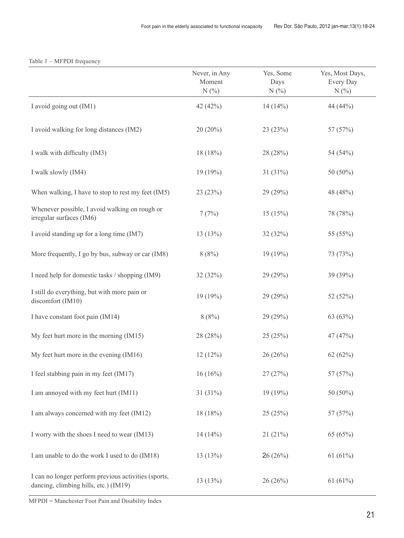|                                                                            | Never, in Any<br>Moment<br>N(% | Yes, Some<br>Days<br>N(% | Yes, Most Days,<br>Every Day<br>N(%) |
|----------------------------------------------------------------------------|--------------------------------|--------------------------|--------------------------------------|
| I avoid going out (IM1)                                                    | 42 (42%)                       | 14(14%)                  | 44 (44%)                             |
| I avoid walking for long distances (IM2)                                   | $20(20\%)$                     | 23(23%)                  | 57 (57%)                             |
| I walk with difficulty (IM3)                                               | 18(18%)                        | 28 (28%)                 | 54 (54%)                             |
| I walk slowly (IM4)                                                        | 19(19%)                        | $31(31\%)$               | 50 (50%)                             |
| When walking, I have to stop to rest my feet (IM5)                         | 23(23%)                        | 29 (29%)                 | 48 (48%)                             |
| Whenever possible, I avoid walking on rough or<br>irregular surfaces (IM6) | 7(7%)                          | 15(15%)                  | 78 (78%)                             |
| I avoid standing up for a long time (IM7)                                  | 13(13%)                        | 32(32%)                  | 55 (55%)                             |
| More frequently, I go by bus, subway or car (IM8)                          | 8(8%)                          | 19(19%)                  | 73 (73%)                             |
| I need help for domestic tasks / shopping (IM9)                            | 32(32%)                        | 29(29%)                  | 39 (39%)                             |
| I still do everything, but with more pain or<br>discomfort (IM10)          | 19(19%)                        | 29 (29%)                 | 52 (52%)                             |
| I have constant foot pain (IM14)                                           | 8(8%)                          | 29 (29%)                 | 63 (63%)                             |
| My feet hurt more in the morning (IM15)                                    | 28 (28%)                       | 25(25%)                  | 47 (47%)                             |
| My feet hurt more in the evening (IM16)                                    | 12(12%)                        | 26(26%)                  | 62(62%)                              |
| I feel stabbing pain in my feet (IM17)                                     | 16(16%)                        | 27 (27%)                 | 57 (57%)                             |
| I am annoyed with my feet hurt (IM11)                                      | $31(31\%)$                     | 19 (19%)                 | 50 (50%)                             |
| I am always concerned with my feet (IM12)                                  | 18(18%)                        | 25(25%)                  | 57 (57%)                             |
| I worry with the shoes I need to wear (IM13)                               | $14(14\%)$                     | 21(21%)                  | 65 (65%)                             |
| I am unable to do the work I used to do (IM18)                             | 13(13%)                        | 26(26%)                  | 61 $(61%)$                           |
| I can no longer perform previous activities (sports,                       |                                |                          |                                      |

dancing, climbing hills, etc.) (IM19)  $13(13\%)$   $26(26\%)$   $61(61\%)$ <br>dancing, climbing hills, etc.) (IM19)

#### Table 1 – MFPDI frequency

MFPDI = Manchester Foot Pain and Disability Index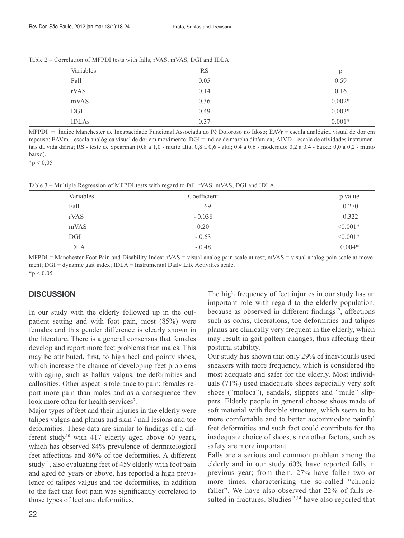| Variables    | <b>RS</b> | p        |
|--------------|-----------|----------|
| Fall         | 0.05      | 0.59     |
| rVAS         | 0.14      | 0.16     |
| mVAS         | 0.36      | $0.002*$ |
| DGI          | 0.49      | $0.003*$ |
| <b>IDLAs</b> | 0.37      | $0.001*$ |

Table 2 – Correlation of MFPDI tests with falls, rVAS, mVAS, DGI and IDLA.

MFPDI = Índice Manchester de Incapacidade Funcional Associada ao Pé Doloroso no Idoso; EAVr = escala analógica visual de dor em repouso; EAVm – escala analógica visual de dor em movimento; DGI = índice de marcha dinâmica; AIVD – escala de atividades instrumentais da vida diária; RS - teste de Spearman (0,8 a 1,0 - muito alta; 0,8 a 0,6 - alta; 0,4 a 0,6 - moderado; 0,2 a 0,4 - baixa; 0,0 a 0,2 - muito baixo).

 $*$ p < 0,05

Table 3 – Multiple Regression of MFPDI tests with regard to fall, rVAS, mVAS, DGI and IDLA.

| Variables   | Coefficient | p value    |
|-------------|-------------|------------|
| Fall        | $-1.69$     | 0.270      |
| rVAS        | $-0.038$    | 0.322      |
| mVAS        | 0.20        | $< 0.001*$ |
| DGI         | $-0.63$     | $< 0.001*$ |
| <b>IDLA</b> | $-0.48$     | $0.004*$   |

 $MPD$ I = Manchester Foot Pain and Disability Index; rVAS = visual analog pain scale at rest; mVAS = visual analog pain scale at movement; DGI = dynamic gait index; IDLA = Instrumental Daily Life Activities scale.  $*_{p} < 0.05$ 

#### **DISCUSSION**

In our study with the elderly followed up in the outpatient setting and with foot pain, most (85%) were females and this gender difference is clearly shown in the literature. There is a general consensus that females develop and report more feet problems than males. This may be attributed, first, to high heel and pointy shoes, which increase the chance of developing feet problems with aging, such as hallux valgus, toe deformities and callosities. Other aspect is tolerance to pain; females report more pain than males and as a consequence they look more often for health services<sup>9</sup>.

Major types of feet and their injuries in the elderly were talipes valgus and planus and skin / nail lesions and toe deformities. These data are similar to findings of a different study<sup>10</sup> with 417 elderly aged above 60 years, which has observed 84% prevalence of dermatological feet affections and 86% of toe deformities. A different study<sup>11</sup>, also evaluating feet of 459 elderly with foot pain and aged 65 years or above, has reported a high prevalence of talipes valgus and toe deformities, in addition to the fact that foot pain was significantly correlated to those types of feet and deformities.

The high frequency of feet injuries in our study has an important role with regard to the elderly population, because as observed in different findings<sup>12</sup>, affections such as corns, ulcerations, toe deformities and talipes planus are clinically very frequent in the elderly, which may result in gait pattern changes, thus affecting their postural stability.

Our study has shown that only 29% of individuals used sneakers with more frequency, which is considered the most adequate and safer for the elderly. Most individuals (71%) used inadequate shoes especially very soft shoes ("moleca"), sandals, slippers and "mule" slippers. Elderly people in general choose shoes made of soft material with flexible structure, which seem to be more comfortable and to better accommodate painful feet deformities and such fact could contribute for the inadequate choice of shoes, since other factors, such as safety are more important.

Falls are a serious and common problem among the elderly and in our study 60% have reported falls in previous year; from them, 27% have fallen two or more times, characterizing the so-called "chronic faller". We have also observed that 22% of falls resulted in fractures. Studies<sup>13,14</sup> have also reported that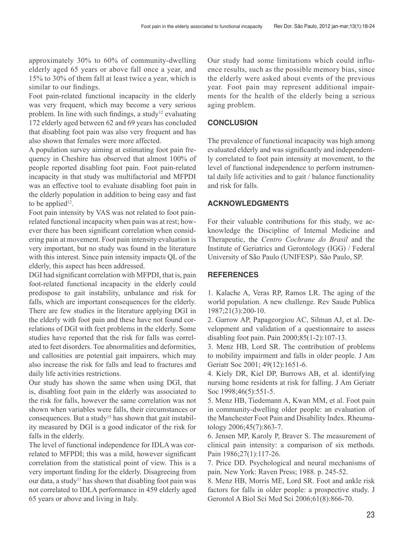approximately 30% to 60% of community-dwelling elderly aged 65 years or above fall once a year, and 15% to 30% of them fall at least twice a year, which is similar to our findings.

Foot pain-related functional incapacity in the elderly was very frequent, which may become a very serious problem. In line with such findings, a study<sup>12</sup> evaluating 172 elderly aged between 62 and 69 years has concluded that disabling foot pain was also very frequent and has also shown that females were more affected.

A population survey aiming at estimating foot pain frequency in Cheshire has observed that almost 100% of people reported disabling foot pain. Foot pain-related incapacity in that study was multifactorial and MFPDI was an effective tool to evaluate disabling foot pain in the elderly population in addition to being easy and fast to be applied<sup>12</sup>.

Foot pain intensity by VAS was not related to foot painrelated functional incapacity when pain was at rest; however there has been significant correlation when considering pain at movement. Foot pain intensity evaluation is very important, but no study was found in the literature with this interest. Since pain intensity impacts QL of the elderly, this aspect has been addressed.

DGI had significant correlation with MFPDI, that is, pain foot-related functional incapacity in the elderly could predispose to gait instability, unbalance and risk for falls, which are important consequences for the elderly. There are few studies in the literature applying DGI in the elderly with foot pain and these have not found correlations of DGI with feet problems in the elderly. Some studies have reported that the risk for falls was correlated to feet disorders. Toe abnormalities and deformities, and callosities are potential gait impairers, which may also increase the risk for falls and lead to fractures and daily life activities restrictions.

Our study has shown the same when using DGI, that is, disabling foot pain in the elderly was associated to the risk for falls, however the same correlation was not shown when variables were falls, their circumstances or consequences. But a study<sup>15</sup> has shown that gait instability measured by DGI is a good indicator of the risk for falls in the elderly.

The level of functional independence for IDLA was correlated to MFPDI; this was a mild, however significant correlation from the statistical point of view. This is a very important finding for the elderly. Disagreeing from our data, a study<sup>11</sup> has shown that disabling foot pain was not correlated to IDLA performance in 459 elderly aged 65 years or above and living in Italy.

Our study had some limitations which could influence results, such as the possible memory bias, since the elderly were asked about events of the previous year. Foot pain may represent additional impairments for the health of the elderly being a serious aging problem.

## **CONCLUSION**

The prevalence of functional incapacity was high among evaluated elderly and was significantly and independently correlated to foot pain intensity at movement, to the level of functional independence to perform instrumental daily life activities and to gait / balance functionality and risk for falls.

## **ACKNOWLEDGMENTS**

For their valuable contributions for this study, we acknowledge the Discipline of Internal Medicine and Therapeutic, the *Centro Cochrane do Brasil* and the Institute of Geriatrics and Gerontology (IGG) / Federal University of São Paulo (UNIFESP). São Paulo, SP.

## **REFERENCES**

1. Kalache A, Veras RP, Ramos LR. The aging of the world population. A new challenge. Rev Saude Publica 1987;21(3):200-10.

2. Garrow AP, Papageorgiou AC, Silman AJ, et al. Development and validation of a questionnaire to assess disabling foot pain. Pain 2000;85(1-2):107-13.

3. Menz HB, Lord SR. The contribution of problems to mobility impairment and falls in older people. J Am Geriatr Soc 2001; 49(12):1651-6.

4. Kiely DR, Kiel DP, Burrows AB, et al. identifying nursing home residents at risk for falling. J Am Geriatr Soc 1998;46(5):551-5.

5. Menz HB, Tiedemann A, Kwan MM, et al. Foot pain in community-dwelling older people: an evaluation of the Manchester Foot Pain and Disability Index. Rheumatology 2006;45(7):863-7.

6. Jensen MP, Karoly P, Braver S. The measurement of clinical pain intensity: a comparison of six methods. Pain 1986;27(1):117-26.

7. Price DD. Psychological and neural mechanisms of pain. New York: Raven Press; 1988. p. 245-52.

8. Menz HB, Morris ME, Lord SR. Foot and ankle risk factors for falls in older people: a prospective study. J Gerontol A Biol Sci Med Sci 2006;61(8):866-70.